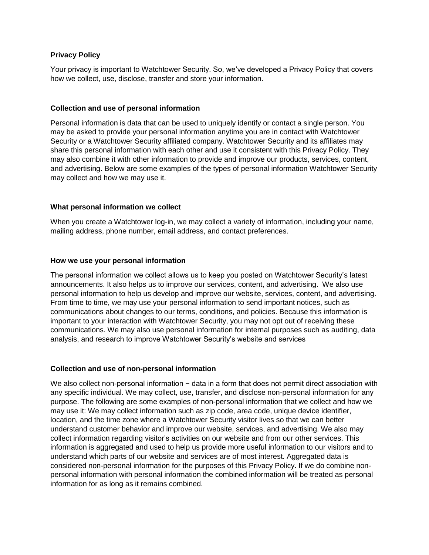# **Privacy Policy**

Your privacy is important to Watchtower Security. So, we've developed a Privacy Policy that covers how we collect, use, disclose, transfer and store your information.

# **Collection and use of personal information**

Personal information is data that can be used to uniquely identify or contact a single person. You may be asked to provide your personal information anytime you are in contact with Watchtower Security or a Watchtower Security affiliated company. Watchtower Security and its affiliates may share this personal information with each other and use it consistent with this Privacy Policy. They may also combine it with other information to provide and improve our products, services, content, and advertising. Below are some examples of the types of personal information Watchtower Security may collect and how we may use it.

# **What personal information we collect**

When you create a Watchtower log-in, we may collect a variety of information, including your name, mailing address, phone number, email address, and contact preferences.

# **How we use your personal information**

The personal information we collect allows us to keep you posted on Watchtower Security's latest announcements. It also helps us to improve our services, content, and advertising. We also use personal information to help us develop and improve our website, services, content, and advertising. From time to time, we may use your personal information to send important notices, such as communications about changes to our terms, conditions, and policies. Because this information is important to your interaction with Watchtower Security, you may not opt out of receiving these communications. We may also use personal information for internal purposes such as auditing, data analysis, and research to improve Watchtower Security's website and services

# **Collection and use of non-personal information**

We also collect non-personal information − data in a form that does not permit direct association with any specific individual. We may collect, use, transfer, and disclose non-personal information for any purpose. The following are some examples of non-personal information that we collect and how we may use it: We may collect information such as zip code, area code, unique device identifier, location, and the time zone where a Watchtower Security visitor lives so that we can better understand customer behavior and improve our website, services, and advertising. We also may collect information regarding visitor's activities on our website and from our other services. This information is aggregated and used to help us provide more useful information to our visitors and to understand which parts of our website and services are of most interest. Aggregated data is considered non-personal information for the purposes of this Privacy Policy. If we do combine nonpersonal information with personal information the combined information will be treated as personal information for as long as it remains combined.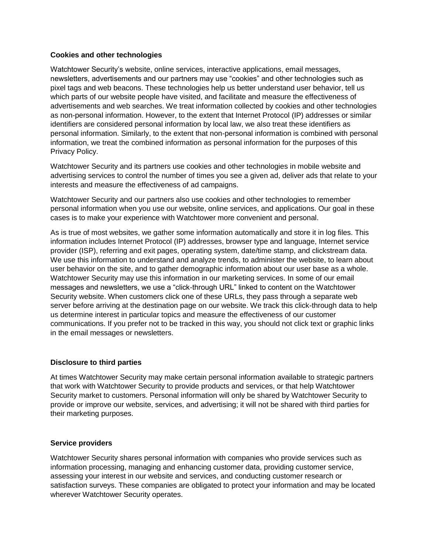# **Cookies and other technologies**

Watchtower Security's website, online services, interactive applications, email messages, newsletters, advertisements and our partners may use "cookies" and other technologies such as pixel tags and web beacons. These technologies help us better understand user behavior, tell us which parts of our website people have visited, and facilitate and measure the effectiveness of advertisements and web searches. We treat information collected by cookies and other technologies as non-personal information. However, to the extent that Internet Protocol (IP) addresses or similar identifiers are considered personal information by local law, we also treat these identifiers as personal information. Similarly, to the extent that non-personal information is combined with personal information, we treat the combined information as personal information for the purposes of this Privacy Policy.

Watchtower Security and its partners use cookies and other technologies in mobile website and advertising services to control the number of times you see a given ad, deliver ads that relate to your interests and measure the effectiveness of ad campaigns.

Watchtower Security and our partners also use cookies and other technologies to remember personal information when you use our website, online services, and applications. Our goal in these cases is to make your experience with Watchtower more convenient and personal.

As is true of most websites, we gather some information automatically and store it in log files. This information includes Internet Protocol (IP) addresses, browser type and language, Internet service provider (ISP), referring and exit pages, operating system, date/time stamp, and clickstream data. We use this information to understand and analyze trends, to administer the website, to learn about user behavior on the site, and to gather demographic information about our user base as a whole. Watchtower Security may use this information in our marketing services. In some of our email messages and newsletters, we use a "click-through URL" linked to content on the Watchtower Security website. When customers click one of these URLs, they pass through a separate web server before arriving at the destination page on our website. We track this click-through data to help us determine interest in particular topics and measure the effectiveness of our customer communications. If you prefer not to be tracked in this way, you should not click text or graphic links in the email messages or newsletters.

# **Disclosure to third parties**

At times Watchtower Security may make certain personal information available to strategic partners that work with Watchtower Security to provide products and services, or that help Watchtower Security market to customers. Personal information will only be shared by Watchtower Security to provide or improve our website, services, and advertising; it will not be shared with third parties for their marketing purposes.

### **Service providers**

Watchtower Security shares personal information with companies who provide services such as information processing, managing and enhancing customer data, providing customer service, assessing your interest in our website and services, and conducting customer research or satisfaction surveys. These companies are obligated to protect your information and may be located wherever Watchtower Security operates.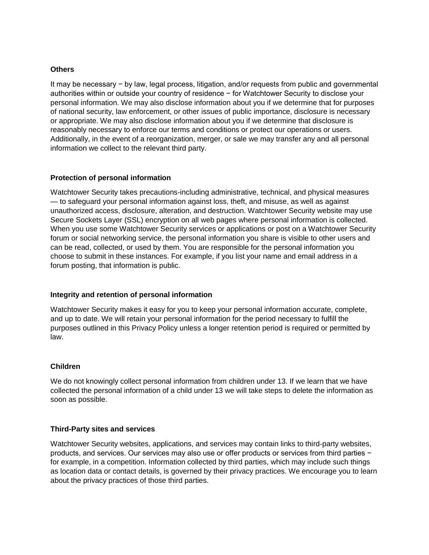### **Others**

It may be necessary − by law, legal process, litigation, and/or requests from public and governmental authorities within or outside your country of residence − for Watchtower Security to disclose your personal information. We may also disclose information about you if we determine that for purposes of national security, law enforcement, or other issues of public importance, disclosure is necessary or appropriate. We may also disclose information about you if we determine that disclosure is reasonably necessary to enforce our terms and conditions or protect our operations or users. Additionally, in the event of a reorganization, merger, or sale we may transfer any and all personal information we collect to the relevant third party.

# **Protection of personal information**

Watchtower Security takes precautions-including administrative, technical, and physical measures — to safeguard your personal information against loss, theft, and misuse, as well as against unauthorized access, disclosure, alteration, and destruction. Watchtower Security website may use Secure Sockets Layer (SSL) encryption on all web pages where personal information is collected. When you use some Watchtower Security services or applications or post on a Watchtower Security forum or social networking service, the personal information you share is visible to other users and can be read, collected, or used by them. You are responsible for the personal information you choose to submit in these instances. For example, if you list your name and email address in a forum posting, that information is public.

### **Integrity and retention of personal information**

Watchtower Security makes it easy for you to keep your personal information accurate, complete, and up to date. We will retain your personal information for the period necessary to fulfill the purposes outlined in this Privacy Policy unless a longer retention period is required or permitted by law.

### **Children**

We do not knowingly collect personal information from children under 13. If we learn that we have collected the personal information of a child under 13 we will take steps to delete the information as soon as possible.

### **Third-Party sites and services**

Watchtower Security websites, applications, and services may contain links to third-party websites, products, and services. Our services may also use or offer products or services from third parties − for example, in a competition. Information collected by third parties, which may include such things as location data or contact details, is governed by their privacy practices. We encourage you to learn about the privacy practices of those third parties.